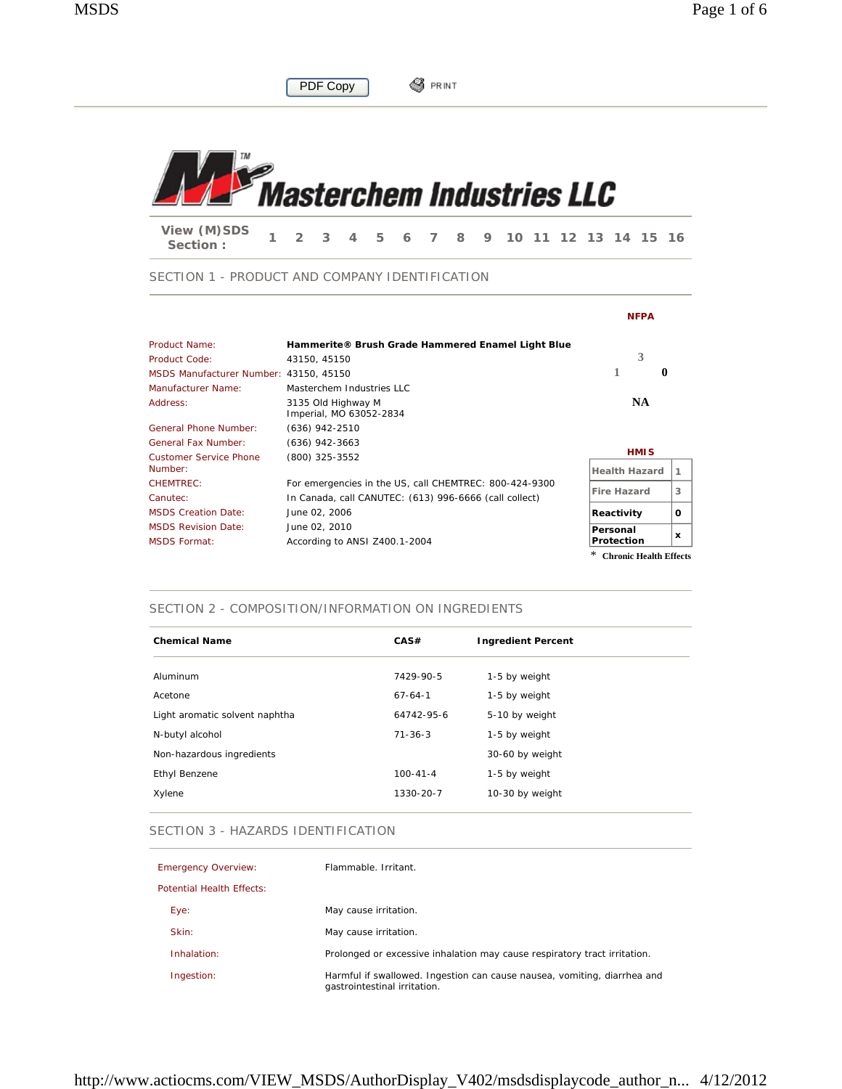

**S**PRINT

## SECTION 1 - PRODUCT AND COMPANY IDENTIFICATION

PDF Copy

|                                        |                                                        | <b>NFPA</b>          |   |
|----------------------------------------|--------------------------------------------------------|----------------------|---|
| Product Name:                          | Hammerite® Brush Grade Hammered Enamel Light Blue      |                      |   |
| Product Code:                          | 43150, 45150                                           | 3                    |   |
| MSDS Manufacturer Number: 43150, 45150 |                                                        | 1<br>$\mathbf{0}$    |   |
| Manufacturer Name:                     | Masterchem Industries LLC                              |                      |   |
| Address:                               | 3135 Old Highway M<br>Imperial, MO 63052-2834          | <b>NA</b>            |   |
| General Phone Number:                  | $(636)$ 942-2510                                       |                      |   |
| <b>General Fax Number:</b>             | $(636)$ 942-3663                                       |                      |   |
| <b>Customer Service Phone</b>          | (800) 325-3552                                         | <b>HMIS</b>          |   |
| Number:                                |                                                        | <b>Health Hazard</b> |   |
| <b>CHEMTREC:</b>                       | For emergencies in the US, call CHEMTREC: 800-424-9300 | <b>Fire Hazard</b>   | 3 |
| Canutec:                               | In Canada, call CANUTEC: (613) 996-6666 (call collect) |                      |   |
| <b>MSDS Creation Date:</b>             | June 02, 2006                                          | Reactivity           | O |
| <b>MSDS Revision Date:</b>             | June 02, 2010                                          | Personal             |   |
| <b>MSDS Format:</b>                    | According to ANSI Z400.1-2004                          | Protection           | x |

\* **Chronic Health Effects**

#### SECTION 2 - COMPOSITION/INFORMATION ON INGREDIENTS

| CAS#           | <b>Ingredient Percent</b> |
|----------------|---------------------------|
| 7429-90-5      | 1-5 by weight             |
| $67-64-1$      | 1-5 by weight             |
| 64742-95-6     | 5-10 by weight            |
| $71 - 36 - 3$  | 1-5 by weight             |
|                | 30-60 by weight           |
| $100 - 41 - 4$ | 1-5 by weight             |
| 1330-20-7      | 10-30 by weight           |
|                |                           |

#### SECTION 3 - HAZARDS IDENTIFICATION

| <b>Emergency Overview:</b>       | Flammable, Irritant.                                                                                     |
|----------------------------------|----------------------------------------------------------------------------------------------------------|
| <b>Potential Health Effects:</b> |                                                                                                          |
| Eye:                             | May cause irritation.                                                                                    |
| Skin:                            | May cause irritation.                                                                                    |
| Inhalation:                      | Prolonged or excessive inhalation may cause respiratory tract irritation.                                |
| Ingestion:                       | Harmful if swallowed. Ingestion can cause nausea, vomiting, diarrhea and<br>gastrointestinal irritation. |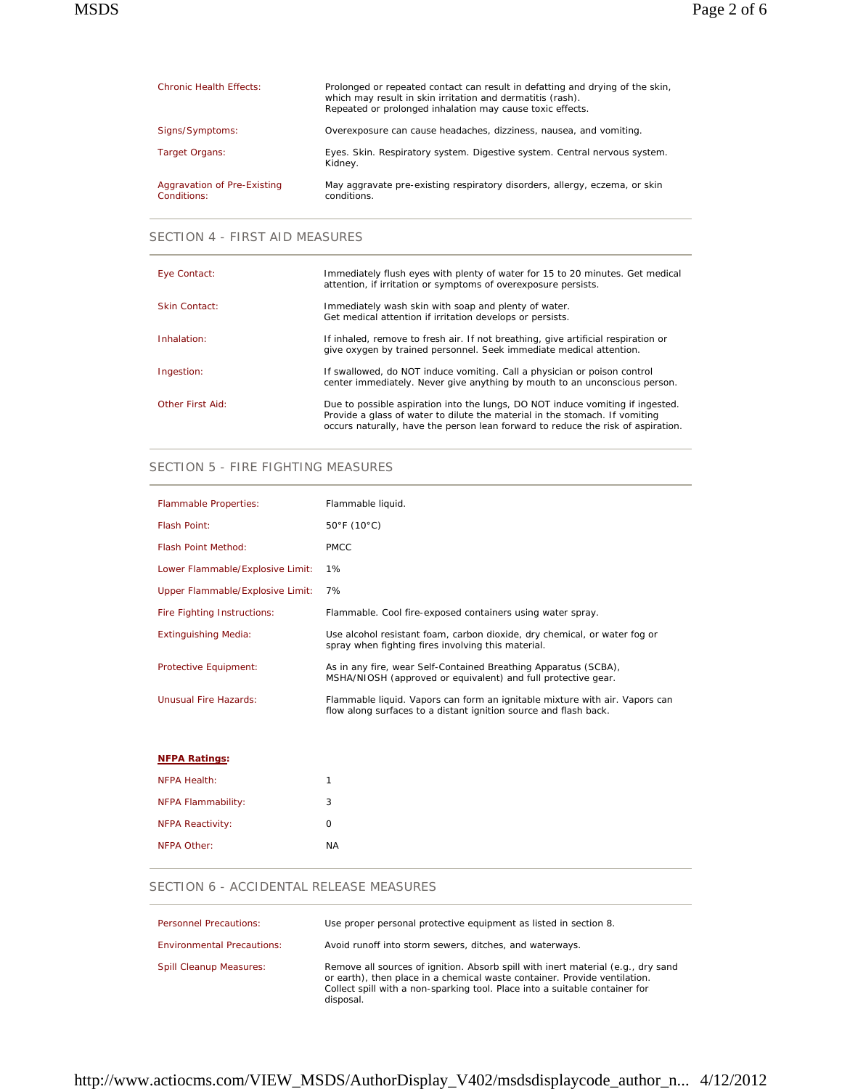| <b>Chronic Health Effects:</b>             | Prolonged or repeated contact can result in defatting and drying of the skin,<br>which may result in skin irritation and dermatitis (rash).<br>Repeated or prolonged inhalation may cause toxic effects. |
|--------------------------------------------|----------------------------------------------------------------------------------------------------------------------------------------------------------------------------------------------------------|
| Signs/Symptoms:                            | Overexposure can cause headaches, dizziness, nausea, and vomiting.                                                                                                                                       |
| Target Organs:                             | Eyes. Skin. Respiratory system. Digestive system. Central nervous system.<br>Kidney.                                                                                                                     |
| Aggravation of Pre-Existing<br>Conditions: | May aggravate pre-existing respiratory disorders, allergy, eczema, or skin<br>conditions.                                                                                                                |

### SECTION 4 - FIRST AID MEASURES

| Eye Contact:     | Immediately flush eyes with plenty of water for 15 to 20 minutes. Get medical<br>attention, if irritation or symptoms of overexposure persists.                                                                                                   |
|------------------|---------------------------------------------------------------------------------------------------------------------------------------------------------------------------------------------------------------------------------------------------|
| Skin Contact:    | Immediately wash skin with soap and plenty of water.<br>Get medical attention if irritation develops or persists.                                                                                                                                 |
| Inhalation:      | If inhaled, remove to fresh air. If not breathing, give artificial respiration or<br>give oxygen by trained personnel. Seek immediate medical attention.                                                                                          |
| Ingestion:       | If swallowed, do NOT induce vomiting. Call a physician or poison control<br>center immediately. Never give anything by mouth to an unconscious person.                                                                                            |
| Other First Aid: | Due to possible aspiration into the lungs, DO NOT induce vomiting if ingested.<br>Provide a glass of water to dilute the material in the stomach. If vomiting<br>occurs naturally, have the person lean forward to reduce the risk of aspiration. |

### SECTION 5 - FIRE FIGHTING MEASURES

| <b>Flammable Properties:</b>     | Flammable liquid.                                                                                                                               |
|----------------------------------|-------------------------------------------------------------------------------------------------------------------------------------------------|
| Flash Point:                     | $50^{\circ}$ F (10 $^{\circ}$ C)                                                                                                                |
| Flash Point Method:              | <b>PMCC</b>                                                                                                                                     |
| Lower Flammable/Explosive Limit: | 1%                                                                                                                                              |
| Upper Flammable/Explosive Limit: | 7%                                                                                                                                              |
| Fire Fighting Instructions:      | Flammable. Cool fire-exposed containers using water spray.                                                                                      |
| <b>Extinguishing Media:</b>      | Use alcohol resistant foam, carbon dioxide, dry chemical, or water fog or<br>spray when fighting fires involving this material.                 |
| Protective Equipment:            | As in any fire, wear Self-Contained Breathing Apparatus (SCBA),<br>MSHA/NIOSH (approved or equivalent) and full protective gear.                |
| Unusual Fire Hazards:            | Flammable liquid. Vapors can form an ignitable mixture with air. Vapors can<br>flow along surfaces to a distant ignition source and flash back. |

| <b>NFPA Ratings:</b>    |           |
|-------------------------|-----------|
| NFPA Health:            | 1         |
| NFPA Flammability:      | 3         |
| <b>NFPA Reactivity:</b> | O         |
| NFPA Other:             | <b>NA</b> |

### SECTION 6 - ACCIDENTAL RELEASE MEASURES

| <b>Personnel Precautions:</b>     | Use proper personal protective equipment as listed in section 8.                                                                                                                                                                                          |
|-----------------------------------|-----------------------------------------------------------------------------------------------------------------------------------------------------------------------------------------------------------------------------------------------------------|
| <b>Environmental Precautions:</b> | Avoid runoff into storm sewers, ditches, and waterways.                                                                                                                                                                                                   |
| <b>Spill Cleanup Measures:</b>    | Remove all sources of ignition. Absorb spill with inert material (e.g., dry sand<br>or earth), then place in a chemical waste container. Provide ventilation.<br>Collect spill with a non-sparking tool. Place into a suitable container for<br>disposal. |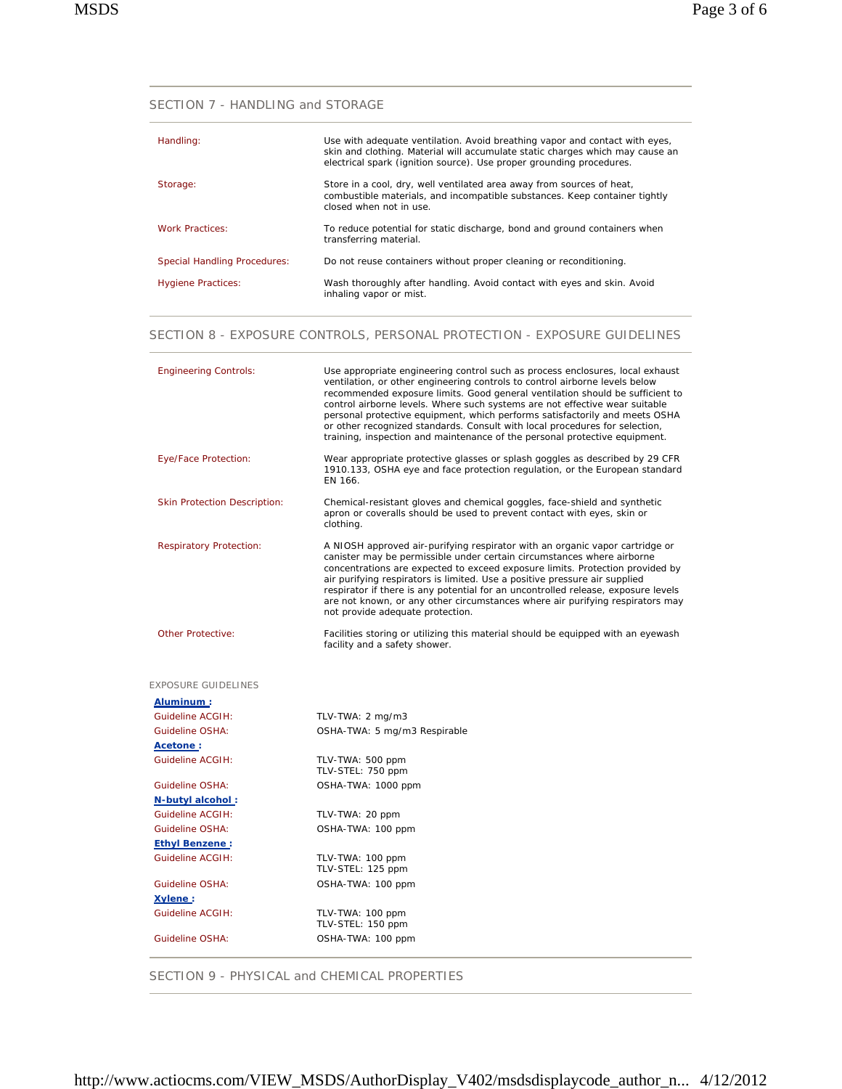SECTION 7 - HANDLING and STORAGE

| Handling:                           | Use with adequate ventilation. Avoid breathing vapor and contact with eyes,<br>skin and clothing. Material will accumulate static charges which may cause an<br>electrical spark (ignition source). Use proper grounding procedures. |
|-------------------------------------|--------------------------------------------------------------------------------------------------------------------------------------------------------------------------------------------------------------------------------------|
| Storage:                            | Store in a cool, dry, well ventilated area away from sources of heat,<br>combustible materials, and incompatible substances. Keep container tightly<br>closed when not in use.                                                       |
| <b>Work Practices:</b>              | To reduce potential for static discharge, bond and ground containers when<br>transferring material.                                                                                                                                  |
| <b>Special Handling Procedures:</b> | Do not reuse containers without proper cleaning or reconditioning.                                                                                                                                                                   |
| <b>Hygiene Practices:</b>           | Wash thoroughly after handling. Avoid contact with eyes and skin. Avoid<br>inhaling vapor or mist.                                                                                                                                   |

### SECTION 8 - EXPOSURE CONTROLS, PERSONAL PROTECTION - EXPOSURE GUIDELINES

| <b>Engineering Controls:</b>        | Use appropriate engineering control such as process enclosures, local exhaust<br>ventilation, or other engineering controls to control airborne levels below<br>recommended exposure limits. Good general ventilation should be sufficient to<br>control airborne levels. Where such systems are not effective wear suitable<br>personal protective equipment, which performs satisfactorily and meets OSHA<br>or other recognized standards. Consult with local procedures for selection,<br>training, inspection and maintenance of the personal protective equipment. |
|-------------------------------------|--------------------------------------------------------------------------------------------------------------------------------------------------------------------------------------------------------------------------------------------------------------------------------------------------------------------------------------------------------------------------------------------------------------------------------------------------------------------------------------------------------------------------------------------------------------------------|
| Eye/Face Protection:                | Wear appropriate protective glasses or splash goggles as described by 29 CFR<br>1910.133, OSHA eye and face protection regulation, or the European standard<br>EN 166.                                                                                                                                                                                                                                                                                                                                                                                                   |
| <b>Skin Protection Description:</b> | Chemical-resistant gloves and chemical goggles, face-shield and synthetic<br>apron or coveralls should be used to prevent contact with eyes, skin or<br>clothing.                                                                                                                                                                                                                                                                                                                                                                                                        |
| <b>Respiratory Protection:</b>      | A NIOSH approved air-purifying respirator with an organic vapor cartridge or<br>canister may be permissible under certain circumstances where airborne<br>concentrations are expected to exceed exposure limits. Protection provided by<br>air purifying respirators is limited. Use a positive pressure air supplied<br>respirator if there is any potential for an uncontrolled release, exposure levels<br>are not known, or any other circumstances where air purifying respirators may<br>not provide adequate protection.                                          |
| <b>Other Protective:</b>            | Facilities storing or utilizing this material should be equipped with an eyewash<br>facility and a safety shower.                                                                                                                                                                                                                                                                                                                                                                                                                                                        |
| <b>EXPOSURE GUIDELINES</b>          |                                                                                                                                                                                                                                                                                                                                                                                                                                                                                                                                                                          |
| Aluminum:                           |                                                                                                                                                                                                                                                                                                                                                                                                                                                                                                                                                                          |
| Guideline ACGIH:                    | TLV-TWA: 2 mg/m3                                                                                                                                                                                                                                                                                                                                                                                                                                                                                                                                                         |
| Guideline OSHA:                     | OSHA-TWA: 5 mg/m3 Respirable                                                                                                                                                                                                                                                                                                                                                                                                                                                                                                                                             |
| Acetone:                            |                                                                                                                                                                                                                                                                                                                                                                                                                                                                                                                                                                          |
| Guideline ACGIH:                    | TLV-TWA: 500 ppm<br>TLV-STEL: 750 ppm                                                                                                                                                                                                                                                                                                                                                                                                                                                                                                                                    |
| Guideline OSHA:                     | OSHA-TWA: 1000 ppm                                                                                                                                                                                                                                                                                                                                                                                                                                                                                                                                                       |
| N-butyl alcohol:                    |                                                                                                                                                                                                                                                                                                                                                                                                                                                                                                                                                                          |
| Guideline ACGIH:                    | TLV-TWA: 20 ppm                                                                                                                                                                                                                                                                                                                                                                                                                                                                                                                                                          |
| <b>Guideline OSHA:</b>              | OSHA-TWA: 100 ppm                                                                                                                                                                                                                                                                                                                                                                                                                                                                                                                                                        |
| <b>Ethyl Benzene:</b>               |                                                                                                                                                                                                                                                                                                                                                                                                                                                                                                                                                                          |
| Guideline ACGIH:                    | TLV-TWA: 100 ppm<br>TLV-STEL: 125 ppm                                                                                                                                                                                                                                                                                                                                                                                                                                                                                                                                    |
| Guideline OSHA:                     | OSHA-TWA: 100 ppm                                                                                                                                                                                                                                                                                                                                                                                                                                                                                                                                                        |
| Xylene:                             |                                                                                                                                                                                                                                                                                                                                                                                                                                                                                                                                                                          |
| Guideline ACGIH:                    | TLV-TWA: 100 ppm<br>TLV-STEL: 150 ppm                                                                                                                                                                                                                                                                                                                                                                                                                                                                                                                                    |
| <b>Guideline OSHA:</b>              | OSHA-TWA: 100 ppm                                                                                                                                                                                                                                                                                                                                                                                                                                                                                                                                                        |

SECTION 9 - PHYSICAL and CHEMICAL PROPERTIES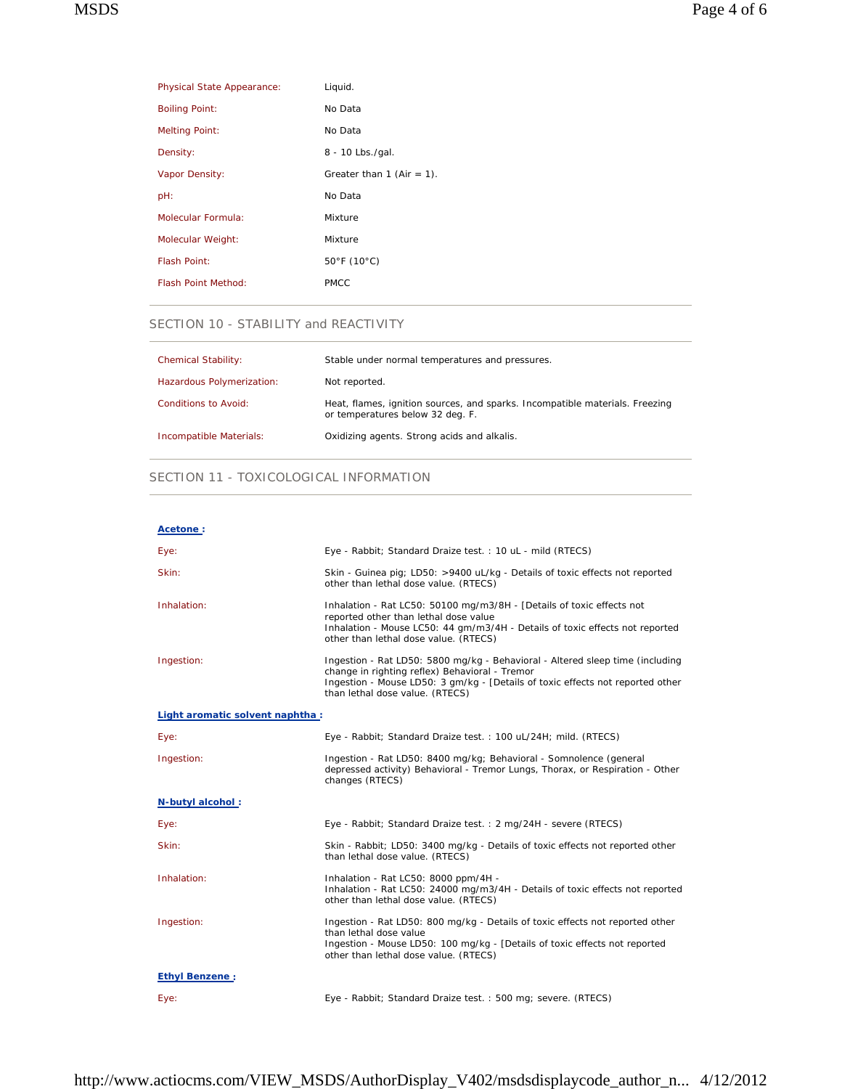| <b>Physical State Appearance:</b> | Liquid.                      |
|-----------------------------------|------------------------------|
| <b>Boiling Point:</b>             | No Data                      |
| <b>Melting Point:</b>             | No Data                      |
| Density:                          | 8 - 10 Lbs./gal.             |
| Vapor Density:                    | Greater than 1 (Air = $1$ ). |
| pH:                               | No Data                      |
| Molecular Formula:                | Mixture                      |
| Molecular Weight:                 | Mixture                      |
| <b>Flash Point:</b>               | 50°F (10°C)                  |
| Flash Point Method:               | <b>PMCC</b>                  |
|                                   |                              |

### SECTION 10 - STABILITY and REACTIVITY

| <b>Chemical Stability:</b> | Stable under normal temperatures and pressures.                                                                  |
|----------------------------|------------------------------------------------------------------------------------------------------------------|
| Hazardous Polymerization:  | Not reported.                                                                                                    |
| Conditions to Avoid:       | Heat, flames, ignition sources, and sparks. Incompatible materials. Freezing<br>or temperatures below 32 deg. F. |
| Incompatible Materials:    | Oxidizing agents. Strong acids and alkalis.                                                                      |

# SECTION 11 - TOXICOLOGICAL INFORMATION

| Acetone:                         |                                                                                                                                                                                                                                                      |
|----------------------------------|------------------------------------------------------------------------------------------------------------------------------------------------------------------------------------------------------------------------------------------------------|
| Eye:                             | Eye - Rabbit; Standard Draize test.: 10 uL - mild (RTECS)                                                                                                                                                                                            |
| Skin:                            | Skin - Guinea pig; LD50: >9400 uL/kg - Details of toxic effects not reported<br>other than lethal dose value. (RTECS)                                                                                                                                |
| Inhalation:                      | Inhalation - Rat LC50: 50100 mg/m3/8H - [Details of toxic effects not<br>reported other than lethal dose value<br>Inhalation - Mouse LC50: 44 gm/m3/4H - Details of toxic effects not reported<br>other than lethal dose value. (RTECS)              |
| Ingestion:                       | Ingestion - Rat LD50: 5800 mg/kg - Behavioral - Altered sleep time (including<br>change in righting reflex) Behavioral - Tremor<br>Ingestion - Mouse LD50: 3 gm/kg - [Details of toxic effects not reported other<br>than lethal dose value. (RTECS) |
| Light aromatic solvent naphtha : |                                                                                                                                                                                                                                                      |
| Eye:                             | Eye - Rabbit; Standard Draize test.: 100 uL/24H; mild. (RTECS)                                                                                                                                                                                       |
| Ingestion:                       | Ingestion - Rat LD50: 8400 mg/kg; Behavioral - Somnolence (general<br>depressed activity) Behavioral - Tremor Lungs, Thorax, or Respiration - Other<br>changes (RTECS)                                                                               |
| N-butyl alcohol:                 |                                                                                                                                                                                                                                                      |
| Eye:                             | Eye - Rabbit; Standard Draize test. : 2 mg/24H - severe (RTECS)                                                                                                                                                                                      |
| Skin:                            | Skin - Rabbit; LD50: 3400 mg/kg - Details of toxic effects not reported other<br>than lethal dose value. (RTECS)                                                                                                                                     |
| Inhalation:                      | Inhalation - Rat LC50: 8000 ppm/4H -<br>Inhalation - Rat LC50: 24000 mg/m3/4H - Details of toxic effects not reported<br>other than lethal dose value. (RTECS)                                                                                       |
| Ingestion:                       | Ingestion - Rat LD50: 800 mg/kg - Details of toxic effects not reported other<br>than lethal dose value<br>Ingestion - Mouse LD50: 100 mg/kg - [Details of toxic effects not reported<br>other than lethal dose value. (RTECS)                       |
| <b>Ethyl Benzene:</b>            |                                                                                                                                                                                                                                                      |
| Eye:                             | Eye - Rabbit; Standard Draize test.: 500 mg; severe. (RTECS)                                                                                                                                                                                         |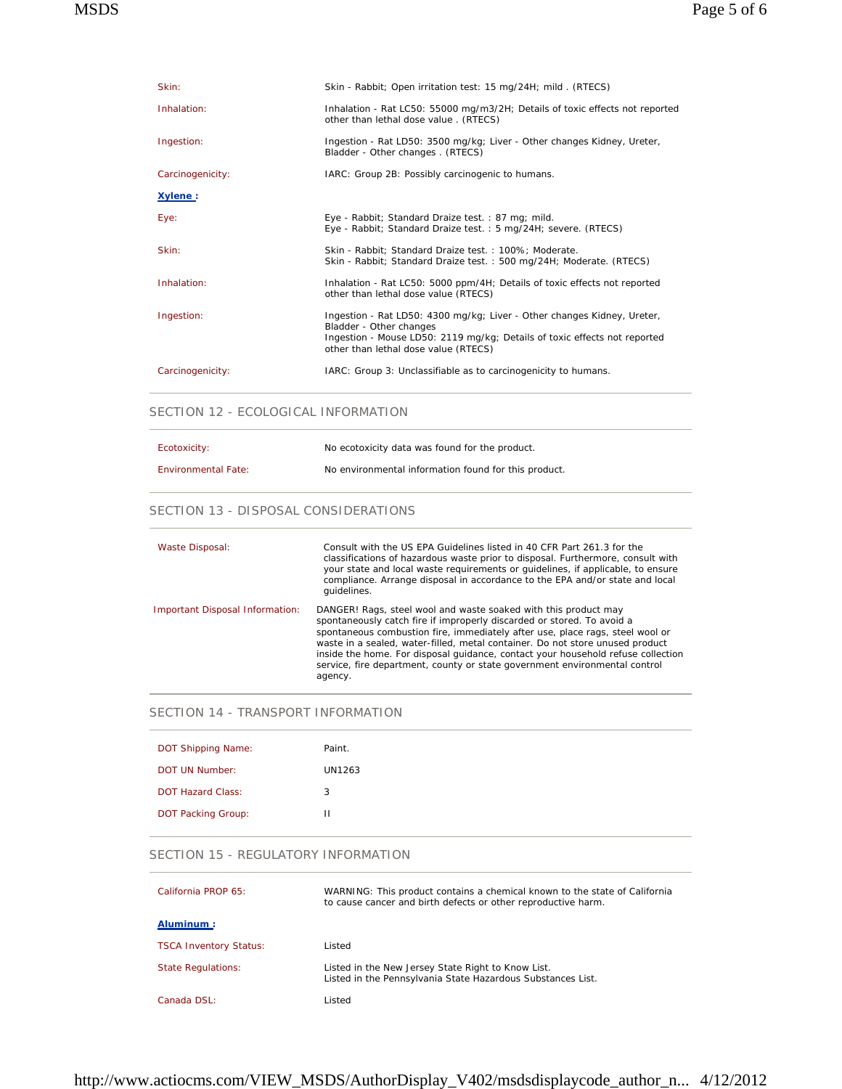| Skin:            | Skin - Rabbit; Open irritation test: 15 mg/24H; mild. (RTECS)                                                                                                                                                           |
|------------------|-------------------------------------------------------------------------------------------------------------------------------------------------------------------------------------------------------------------------|
| Inhalation:      | Inhalation - Rat LC50: 55000 mg/m3/2H; Details of toxic effects not reported<br>other than lethal dose value . (RTECS)                                                                                                  |
| Ingestion:       | Ingestion - Rat LD50: 3500 mg/kg; Liver - Other changes Kidney, Ureter,<br>Bladder - Other changes . (RTECS)                                                                                                            |
| Carcinogenicity: | IARC: Group 2B: Possibly carcinogenic to humans.                                                                                                                                                                        |
| Xylene:          |                                                                                                                                                                                                                         |
| Eye:             | Eye - Rabbit; Standard Draize test.: 87 mg; mild.<br>Eye - Rabbit; Standard Draize test.: 5 mg/24H; severe. (RTECS)                                                                                                     |
| Skin:            | Skin - Rabbit; Standard Draize test.: 100%; Moderate.<br>Skin - Rabbit; Standard Draize test. : 500 mg/24H; Moderate. (RTECS)                                                                                           |
| Inhalation:      | Inhalation - Rat LC50: 5000 ppm/4H; Details of toxic effects not reported<br>other than lethal dose value (RTECS)                                                                                                       |
| Ingestion:       | Ingestion - Rat LD50: 4300 mg/kg; Liver - Other changes Kidney, Ureter,<br>Bladder - Other changes<br>Ingestion - Mouse LD50: 2119 mg/kg; Details of toxic effects not reported<br>other than lethal dose value (RTECS) |
| Carcinogenicity: | IARC: Group 3: Unclassifiable as to carcinogenicity to humans.                                                                                                                                                          |

### SECTION 12 - ECOLOGICAL INFORMATION

| Ecotoxicity:               | No ecotoxicity data was found for the product.       |
|----------------------------|------------------------------------------------------|
| <b>Environmental Fate:</b> | No environmental information found for this product. |

### SECTION 13 - DISPOSAL CONSIDERATIONS

| Waste Disposal:                 | Consult with the US EPA Guidelines listed in 40 CFR Part 261.3 for the<br>classifications of hazardous waste prior to disposal. Furthermore, consult with<br>your state and local waste requirements or quidelines, if applicable, to ensure<br>compliance. Arrange disposal in accordance to the EPA and/or state and local<br>quidelines.                                                                                                                                              |
|---------------------------------|------------------------------------------------------------------------------------------------------------------------------------------------------------------------------------------------------------------------------------------------------------------------------------------------------------------------------------------------------------------------------------------------------------------------------------------------------------------------------------------|
| Important Disposal Information: | DANGER! Rags, steel wool and waste soaked with this product may<br>spontaneously catch fire if improperly discarded or stored. To avoid a<br>spontaneous combustion fire, immediately after use, place rags, steel wool or<br>waste in a sealed, water-filled, metal container. Do not store unused product<br>inside the home. For disposal quidance, contact your household refuse collection<br>service, fire department, county or state government environmental control<br>agency. |

### SECTION 14 - TRANSPORT INFORMATION

| DOT Shipping Name:        | Paint. |
|---------------------------|--------|
| DOT UN Number:            | UN1263 |
|                           |        |
| <b>DOT Hazard Class:</b>  | 3      |
| <b>DOT Packing Group:</b> | Ш      |
|                           |        |

## SECTION 15 - REGULATORY INFORMATION

| California PROP 65:           | WARNING: This product contains a chemical known to the state of California<br>to cause cancer and birth defects or other reproductive harm. |
|-------------------------------|---------------------------------------------------------------------------------------------------------------------------------------------|
| Aluminum:                     |                                                                                                                                             |
| <b>TSCA Inventory Status:</b> | Listed                                                                                                                                      |
| <b>State Regulations:</b>     | Listed in the New Jersey State Right to Know List.<br>Listed in the Pennsylvania State Hazardous Substances List.                           |
| Canada DSL:                   | Listed                                                                                                                                      |